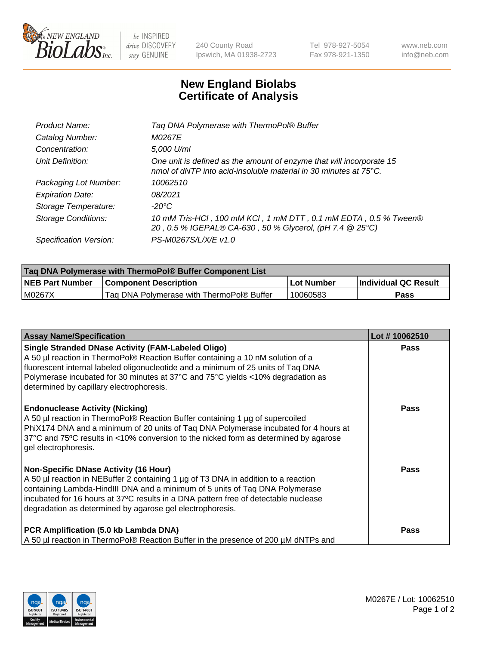

 $be$  INSPIRED drive DISCOVERY stay GENUINE

240 County Road Ipswich, MA 01938-2723 Tel 978-927-5054 Fax 978-921-1350 www.neb.com info@neb.com

## **New England Biolabs Certificate of Analysis**

| Product Name:              | Tag DNA Polymerase with ThermoPol® Buffer                                                                                                |
|----------------------------|------------------------------------------------------------------------------------------------------------------------------------------|
| Catalog Number:            | M0267E                                                                                                                                   |
| Concentration:             | 5,000 U/ml                                                                                                                               |
| Unit Definition:           | One unit is defined as the amount of enzyme that will incorporate 15<br>nmol of dNTP into acid-insoluble material in 30 minutes at 75°C. |
| Packaging Lot Number:      | 10062510                                                                                                                                 |
| <b>Expiration Date:</b>    | 08/2021                                                                                                                                  |
| Storage Temperature:       | $-20^{\circ}$ C                                                                                                                          |
| <b>Storage Conditions:</b> | 10 mM Tris-HCl, 100 mM KCl, 1 mM DTT, 0.1 mM EDTA, 0.5 % Tween®<br>20, 0.5 % IGEPAL® CA-630, 50 % Glycerol, (pH 7.4 @ 25°C)              |
| Specification Version:     | PS-M0267S/L/X/E v1.0                                                                                                                     |

| Taq DNA Polymerase with ThermoPol® Buffer Component List |                                           |              |                      |  |
|----------------------------------------------------------|-------------------------------------------|--------------|----------------------|--|
| <b>NEB Part Number</b>                                   | <b>Component Description</b>              | l Lot Number | Individual QC Result |  |
| M0267X                                                   | Tag DNA Polymerase with ThermoPol® Buffer | 10060583     | Pass                 |  |

| <b>Assay Name/Specification</b>                                                                                                                                                                                                                                                                                                                                        | Lot #10062510 |
|------------------------------------------------------------------------------------------------------------------------------------------------------------------------------------------------------------------------------------------------------------------------------------------------------------------------------------------------------------------------|---------------|
| <b>Single Stranded DNase Activity (FAM-Labeled Oligo)</b><br>A 50 µl reaction in ThermoPol® Reaction Buffer containing a 10 nM solution of a<br>fluorescent internal labeled oligonucleotide and a minimum of 25 units of Taq DNA<br>Polymerase incubated for 30 minutes at 37°C and 75°C yields <10% degradation as<br>determined by capillary electrophoresis.       | <b>Pass</b>   |
| <b>Endonuclease Activity (Nicking)</b><br>A 50 µl reaction in ThermoPol® Reaction Buffer containing 1 µg of supercoiled<br>PhiX174 DNA and a minimum of 20 units of Tag DNA Polymerase incubated for 4 hours at<br>37°C and 75°C results in <10% conversion to the nicked form as determined by agarose<br>gel electrophoresis.                                        | <b>Pass</b>   |
| <b>Non-Specific DNase Activity (16 Hour)</b><br>A 50 µl reaction in NEBuffer 2 containing 1 µg of T3 DNA in addition to a reaction<br>containing Lambda-HindIII DNA and a minimum of 5 units of Taq DNA Polymerase<br>incubated for 16 hours at 37°C results in a DNA pattern free of detectable nuclease<br>degradation as determined by agarose gel electrophoresis. | Pass          |
| PCR Amplification (5.0 kb Lambda DNA)<br>A 50 µl reaction in ThermoPol® Reaction Buffer in the presence of 200 µM dNTPs and                                                                                                                                                                                                                                            | Pass          |